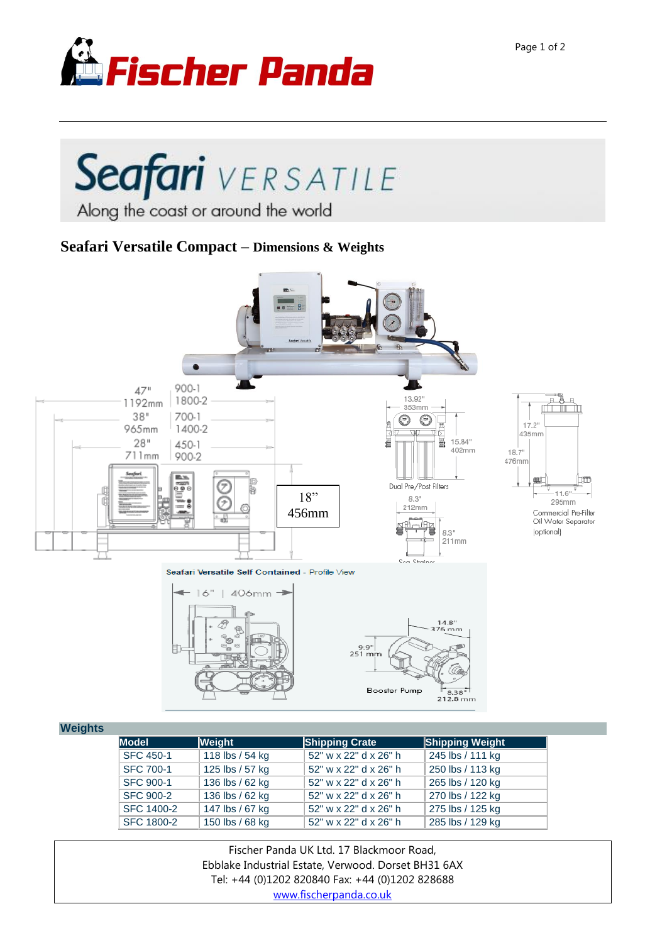

## Seafari VERSATILE Along the coast or around the world

## **Seafari Versatile Compact – Dimensions & Weights**



## **Weight**

| шэ |                   |                 |                       |                        |
|----|-------------------|-----------------|-----------------------|------------------------|
|    | <b>Model</b>      | Weight          | Shipping Crate        | <b>Shipping Weight</b> |
|    | <b>SFC 450-1</b>  | 118 lbs / 54 kg | 52" w x 22" d x 26" h | 245 lbs / 111 kg       |
|    | <b>SFC 700-1</b>  | 125 lbs / 57 kg | 52" w x 22" d x 26" h | 250 lbs / 113 kg       |
|    | <b>SFC 900-1</b>  | 136 lbs / 62 kg | 52" w x 22" d x 26" h | 265 lbs / 120 kg       |
|    | <b>SFC 900-2</b>  | 136 lbs / 62 kg | 52" w x 22" d x 26" h | 270 lbs / 122 kg       |
|    | SFC 1400-2        | 147 lbs / 67 kg | 52" w x 22" d x 26" h | 275 lbs / 125 kg       |
|    | <b>SFC 1800-2</b> | 150 lbs / 68 kg | 52" w x 22" d x 26" h | 285 lbs / 129 kg       |

Fischer Panda UK Ltd. 17 Blackmoor Road, Ebblake Industrial Estate, Verwood. Dorset BH31 6AX Tel: +44 (0)1202 820840 Fax: +44 (0)1202 828688 [www.fischerpanda.co.uk](http://www.fischerpanda.co.uk/)